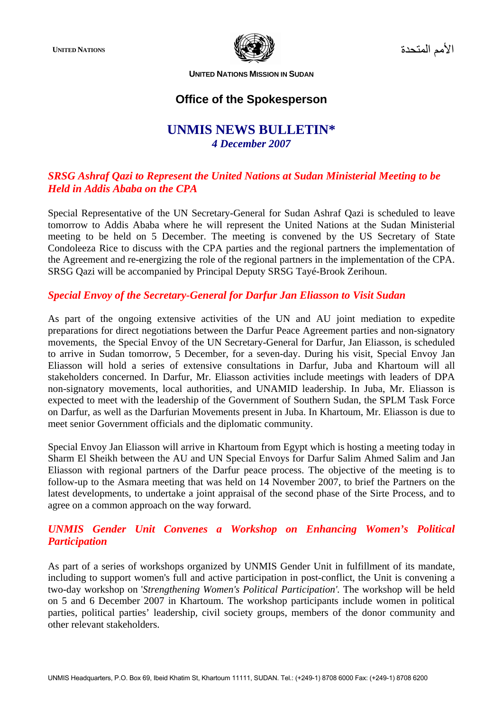

الأمم المتحدة **NATIONS UNITED**

**UNITED NATIONS MISSION IN SUDAN**

# **Office of the Spokesperson**

# **UNMIS NEWS BULLETIN\***  *4 December 2007*

## *SRSG Ashraf Qazi to Represent the United Nations at Sudan Ministerial Meeting to be Held in Addis Ababa on the CPA*

Special Representative of the UN Secretary-General for Sudan Ashraf Qazi is scheduled to leave tomorrow to Addis Ababa where he will represent the United Nations at the Sudan Ministerial meeting to be held on 5 December. The meeting is convened by the US Secretary of State Condoleeza Rice to discuss with the CPA parties and the regional partners the implementation of the Agreement and re-energizing the role of the regional partners in the implementation of the CPA. SRSG Qazi will be accompanied by Principal Deputy SRSG Tayé-Brook Zerihoun.

### *Special Envoy of the Secretary-General for Darfur Jan Eliasson to Visit Sudan*

As part of the ongoing extensive activities of the UN and AU joint mediation to expedite preparations for direct negotiations between the Darfur Peace Agreement parties and non-signatory movements, the Special Envoy of the UN Secretary-General for Darfur, Jan Eliasson, is scheduled to arrive in Sudan tomorrow, 5 December, for a seven-day. During his visit, Special Envoy Jan Eliasson will hold a series of extensive consultations in Darfur, Juba and Khartoum will all stakeholders concerned. In Darfur, Mr. Eliasson activities include meetings with leaders of DPA non-signatory movements, local authorities, and UNAMID leadership. In Juba, Mr. Eliasson is expected to meet with the leadership of the Government of Southern Sudan, the SPLM Task Force on Darfur, as well as the Darfurian Movements present in Juba. In Khartoum, Mr. Eliasson is due to meet senior Government officials and the diplomatic community.

Special Envoy Jan Eliasson will arrive in Khartoum from Egypt which is hosting a meeting today in Sharm El Sheikh between the AU and UN Special Envoys for Darfur Salim Ahmed Salim and Jan Eliasson with regional partners of the Darfur peace process. The objective of the meeting is to follow-up to the Asmara meeting that was held on 14 November 2007, to brief the Partners on the latest developments, to undertake a joint appraisal of the second phase of the Sirte Process, and to agree on a common approach on the way forward.

### *UNMIS Gender Unit Convenes a Workshop on Enhancing Women's Political Participation*

As part of a series of workshops organized by UNMIS Gender Unit in fulfillment of its mandate, including to support women's full and active participation in post-conflict, the Unit is convening a two-day workshop on '*Strengthening Women's Political Participation'.* The workshop will be held on 5 and 6 December 2007 in Khartoum. The workshop participants include women in political parties, political parties' leadership, civil society groups, members of the donor community and other relevant stakeholders.